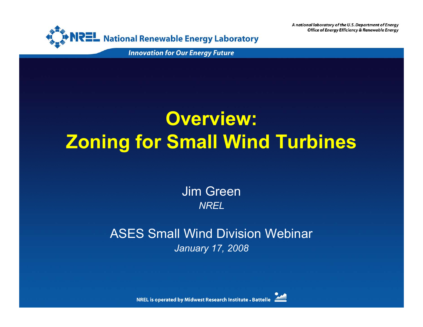

**Innovation for Our Energy Future** 

## **Overview: Zoning for Small Wind Turbines**

Jim Green *NREL*

ASES Small Wind Division Webinar*January 17, 2008*



**NREL is operated by Midwest Research Institute . Battelle**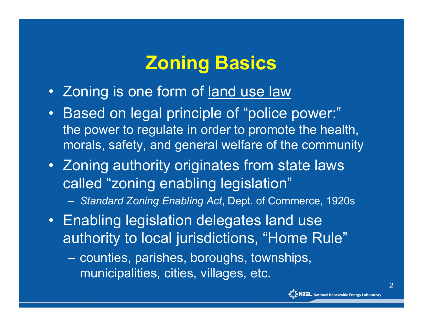## **Zoning Basics**

- Zoning is one form of land use law
- $\bullet$  Based on legal principle of "police power:" the power to regulate in order to promote the health, morals, safety, and general welfare of the community
- Zoning authority originates from state laws called "zoning enabling legislation"
	- *Standard Zoning Enabling Act*, Dept. of Commerce, 1920s
- Enabling legislation delegates land use authority to local jurisdictions, "Home Rule"
	- counties, parishes, boroughs, townships, municipalities, cities, villages, etc.

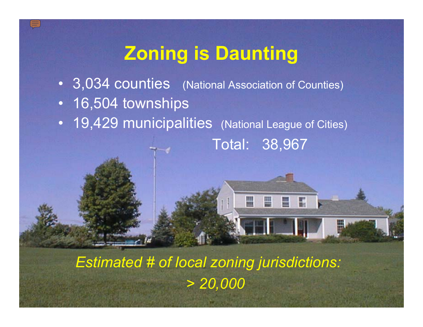## **Zoning is Daunting**

- 3,034 counties (National Association of Counties)
- •16,504 townships
- 19,429 municipalities (National League of Cities)

Total: 38,967

冒

≞

**ELR** 

*Estimated # of local zoning jurisdictions: > 20,000*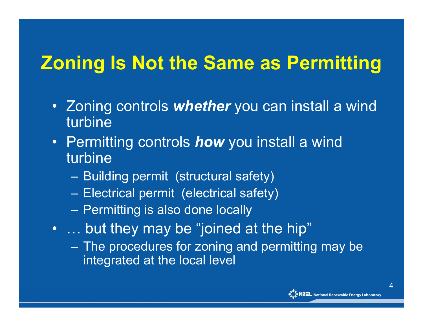## **Zoning Is Not the Same as Permitting**

- Zoning controls *whether* you can install a wind turbine
- Permitting controls *how* you install a wind turbine
	- Building permit (structural safety)
	- –Electrical permit (electrical safety)
	- –– Permitting is also done locally
- … but they may be "joined at the hip"
	- $-$  The procedures for zoning and permitting may be  $\overline{\phantom{a}}$ integrated at the local level

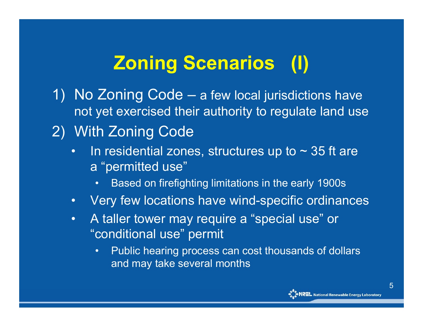# **Zoning Scenarios (I)**

- 1) No Zoning Code a few local jurisdictions have not yet exercised their authority to regulate land use
- 2) With Zoning Code
	- •In residential zones, structures up to  $\sim$  35 ft are <sup>a</sup>"permitted use"
		- •Based on firefighting limitations in the early 1900s
	- $\bullet$ Very few locations have wind-specific ordinances
	- • A taller tower may require a "special use" or "conditional use" permit
		- • Public hearing process can cost thousands of dollars and may take several months

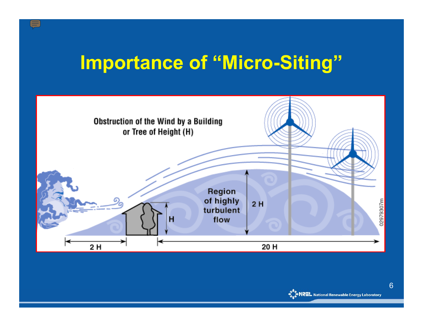## **Importance of "Micro-Siting"**

 $\sqrt{\frac{1}{2}}$ 



6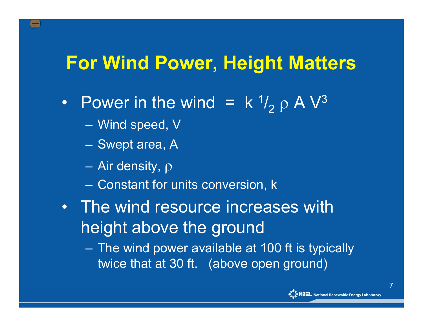### **For Wind Power, Height Matters**

- $\bullet$ • Power in the wind  $=$  k<sup>1</sup>  $l_2$  ρ Α  $\mathrm{V}^3$ 
	- $\mathcal{L}_{\mathcal{A}}$ Wind speed, V
	- $\mathcal{L}_{\mathcal{A}}$ – Swept area, A
	- Air density, ρ
	- Constant for units conversion, k
- The wind resource increases with height above the ground
	- $\mathcal{L}_{\mathcal{A}}$  The wind power available at 100 ft is typically twice that at 30 ft. (above open ground)



7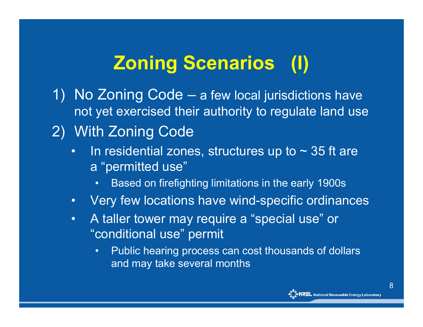# **Zoning Scenarios (I)**

- 1) No Zoning Code a few local jurisdictions have not yet exercised their authority to regulate land use
- 2) With Zoning Code
	- •In residential zones, structures up to  $\sim$  35 ft are <sup>a</sup>"permitted use"
		- •Based on firefighting limitations in the early 1900s
	- $\bullet$ Very few locations have wind-specific ordinances
	- • A taller tower may require a "special use" or "conditional use" permit
		- • Public hearing process can cost thousands of dollars and may take several months

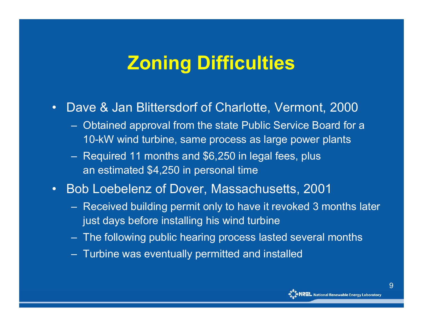## **Zoning Difficulties**

- • Dave & Jan Blittersdorf of Charlotte, Vermont, 2000
	- Obtained approval from the state Public Service Board for a 10-kW wind turbine, same process as large power plants
	- Required 11 months and \$6,250 in legal fees, plus an estimated \$4,250 in personal time
- • Bob Loebelenz of Dover, Massachusetts, 2001
	- Received building permit only to have it revoked 3 months later just days before installing his wind turbine
	- The following public hearing process lasted several months
	- Turbine was eventually permitted and installed

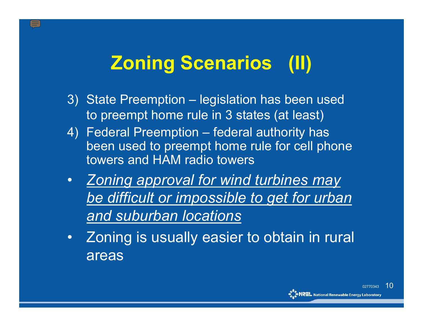# **Zoning Scenarios (II)**

- 3) State Preemption legislation has been used to preempt home rule in 3 states (at least)
- 4) Federal Preemption federal authority has been used to preempt home rule for cell phone towers and HAM radio towers
- $\bullet$  *Zoning approval for wind turbines may be difficult or impossible to get for urban and suburban locations*
- $\bullet$  Zoning is usually easier to obtain in rural areas

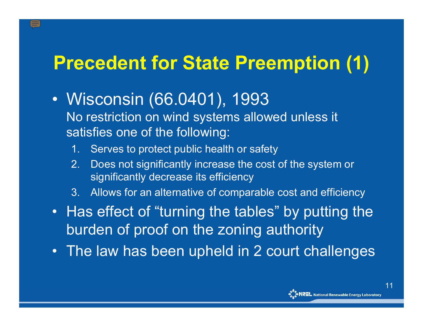## **Precedent for State Preemption (1)**

- $\bullet$  Wisconsin (66.0401), 1993 No restriction on wind systems allowed unless it satisfies one of the following:
	- 1. Serves to protect public health or safety
	- 2. Does not significantly increase the cost of the system or significantly decrease its efficiency
	- 3.Allows for an alternative of comparable cost and efficiency
- Has effect of "turning the tables" by putting the burden of proof on the zoning authority
- The law has been upheld in 2 court challenges

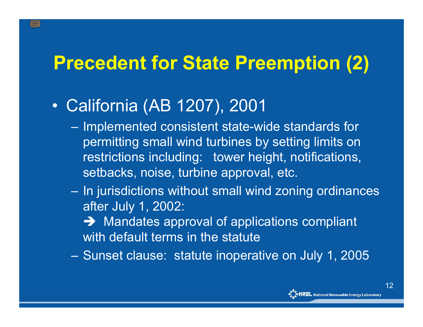## **Precedent for State Preemption (2)**

- $\bullet$  California (AB 1207), 2001
	- –- Implemented consistent state-wide standards for permitting small wind turbines by setting limits on restrictions including: tower height, notifications, setbacks, noise, turbine approval, etc.
	- – $-$  In jurisdictions without small wind zoning ordinances  $\,$ after July 1, 2002:
		- $\rightarrow$  Mandates approval of applications compliant with default terms in the statute
	- –Sunset clause: statute inoperative on July 1, 2005

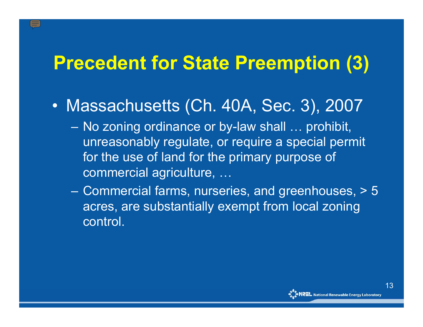## **Precedent for State Preemption (3)**

- $\bullet$  Massachusetts (Ch. 40A, Sec. 3), 2007
	- – No zoning ordinance or by-law shall … prohibit, unreasonably regulate, or require a special permit for the use of land for the primary purpose of commercial agriculture, …
	- – Commercial farms, nurseries, and greenhouses, > 5 acres, are substantially exempt from local zoning control.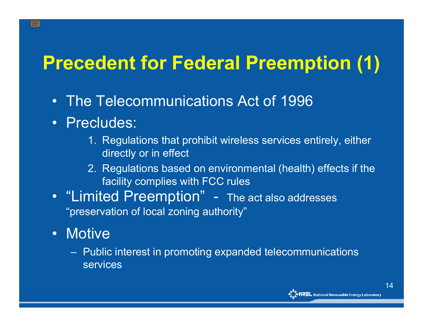## **Precedent for Federal Preemption (1)**

- The Telecommunications Act of 1996
- Precludes:
	- 1. Regulations that prohibit wireless services entirely, either directly or in effect
	- 2. Regulations based on environmental (health) effects if the facility complies with FCC rules
- "Limited Preemption" - The act also addresses "preservation of local zoning authority"
- Motive
	- $-$  Public interest in promoting expanded telecommunications  $\,$ services

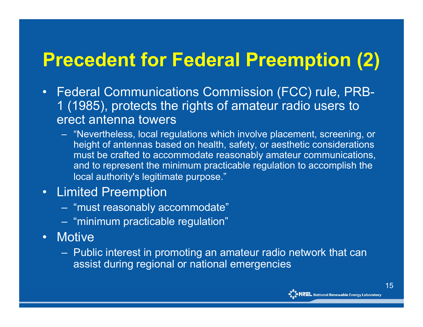## **Precedent for Federal Preemption (2)**

- $\bullet$  Federal Communications Commission (FCC) rule, PRB-1 (1985), protects the rights of amateur radio users to erect antenna towers
	- "Nevertheless, local regulations which involve placement, screening, or height of antennas based on health, safety, or aesthetic considerations must be crafted to accommodate reasonably amateur communications, and to represent the minimum practicable regulation to accomplish the local authority's legitimate purpose."

#### • Limited Preemption

- "must reasonably accommodate"
- "minimum practicable regulation"
- Motive
	- $-$  Public interest in promoting an amateur radio network that can $\,$ assist during regional or national emergencies